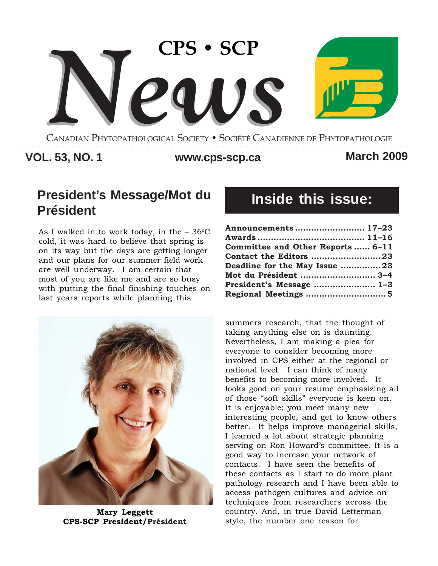

CANADIAN PHYTOPATHOLOGICAL SOCIETY **•** SOCIÉTÉ CANADIENNE DE PHYTOPATHOLOGIE ○○○○○○○○○○○○○○○○○○○○○○○○○○○○○○○○○○○○○○○○○○○○○○○○○○○○○○○○○○○○○○○○○○○○

# **VOL. 53, NO. 1 www.cps-scp.ca March 2009**

# **President's Message/Mot du Président**

As I walked in to work today, in the  $-36^{\circ}$ C cold, it was hard to believe that spring is on its way but the days are getting longer and our plans for our summer field work are well underway. I am certain that most of you are like me and are so busy with putting the final finishing touches on last years reports while planning this



**Mary Leggett CPS-SCP President/Président**

# **Inside this issue:**

| Announcements  17-23              |  |
|-----------------------------------|--|
|                                   |  |
| Committee and Other Reports  6-11 |  |
| Contact the Editors 23            |  |
| Deadline for the May Issue 23     |  |
| Mot du Président  3-4             |  |
| President's Message  1-3          |  |
|                                   |  |

summers research, that the thought of taking anything else on is daunting. Nevertheless, I am making a plea for everyone to consider becoming more involved in CPS either at the regional or national level. I can think of many benefits to becoming more involved. It looks good on your resume emphasizing all of those "soft skills" everyone is keen on. It is enjoyable; you meet many new interesting people, and get to know others better. It helps improve managerial skills, I learned a lot about strategic planning serving on Ron Howard's committee. It is a good way to increase your network of contacts. I have seen the benefits of these contacts as I start to do more plant pathology research and I have been able to access pathogen cultures and advice on techniques from researchers across the country. And, in true David Letterman style, the number one reason for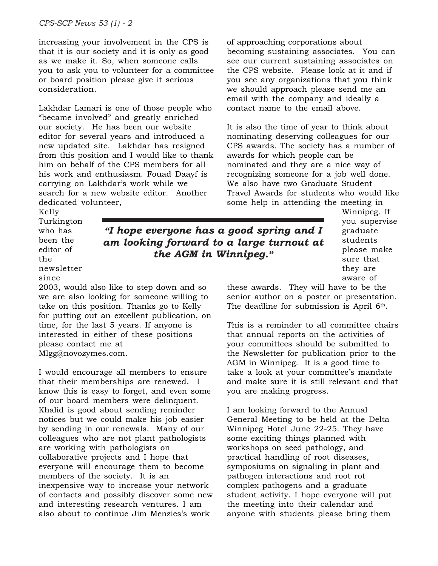increasing your involvement in the CPS is that it is our society and it is only as good as we make it. So, when someone calls you to ask you to volunteer for a committee or board position please give it serious consideration.

Lakhdar Lamari is one of those people who "became involved" and greatly enriched our society. He has been our website editor for several years and introduced a new updated site. Lakhdar has resigned from this position and I would like to thank him on behalf of the CPS members for all his work and enthusiasm. Fouad Daayf is carrying on Lakhdar's work while we search for a new website editor. Another dedicated volunteer,

of approaching corporations about becoming sustaining associates. You can see our current sustaining associates on the CPS website. Please look at it and if you see any organizations that you think we should approach please send me an email with the company and ideally a contact name to the email above.

It is also the time of year to think about nominating deserving colleagues for our CPS awards. The society has a number of awards for which people can be nominated and they are a nice way of recognizing someone for a job well done. We also have two Graduate Student Travel Awards for students who would like some help in attending the meeting in

Kelly Turkington who has been the editor of the newsletter

#### since

2003, would also like to step down and so we are also looking for someone willing to take on this position. Thanks go to Kelly for putting out an excellent publication, on time, for the last 5 years. If anyone is interested in either of these positions please contact me at Mlgg@novozymes.com.

I would encourage all members to ensure that their memberships are renewed. I know this is easy to forget, and even some of our board members were delinquent. Khalid is good about sending reminder notices but we could make his job easier by sending in our renewals. Many of our colleagues who are not plant pathologists are working with pathologists on collaborative projects and I hope that everyone will encourage them to become members of the society. It is an inexpensive way to increase your network of contacts and possibly discover some new and interesting research ventures. I am also about to continue Jim Menzies's work

*"I hope everyone has a good spring and I am looking forward to a large turnout at the AGM in Winnipeg."*

Winnipeg. If you supervise graduate students please make sure that they are aware of

these awards. They will have to be the senior author on a poster or presentation. The deadline for submission is April 6<sup>th</sup>.

This is a reminder to all committee chairs that annual reports on the activities of your committees should be submitted to the Newsletter for publication prior to the AGM in Winnipeg. It is a good time to take a look at your committee's mandate and make sure it is still relevant and that you are making progress.

I am looking forward to the Annual General Meeting to be held at the Delta Winnipeg Hotel June 22-25. They have some exciting things planned with workshops on seed pathology, and practical handling of root diseases, symposiums on signaling in plant and pathogen interactions and root rot complex pathogens and a graduate student activity. I hope everyone will put the meeting into their calendar and anyone with students please bring them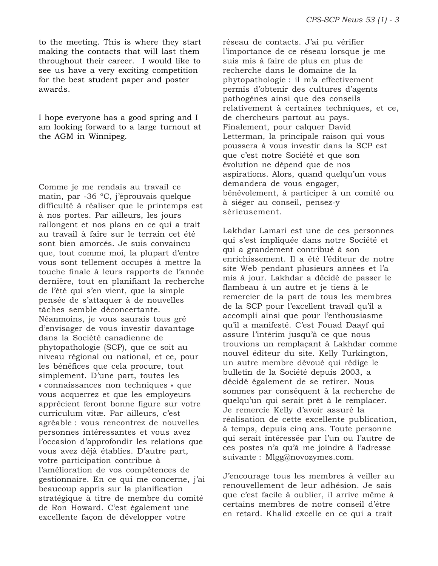to the meeting. This is where they start making the contacts that will last them throughout their career. I would like to see us have a very exciting competition for the best student paper and poster awards.

I hope everyone has a good spring and I am looking forward to a large turnout at the AGM in Winnipeg.

Comme je me rendais au travail ce matin, par -36 ºC, j'éprouvais quelque difficulté à réaliser que le printemps est à nos portes. Par ailleurs, les jours rallongent et nos plans en ce qui a trait au travail à faire sur le terrain cet été sont bien amorcés. Je suis convaincu que, tout comme moi, la plupart d'entre vous sont tellement occupés à mettre la touche finale à leurs rapports de l'année dernière, tout en planifiant la recherche de l'été qui s'en vient, que la simple pensée de s'attaquer à de nouvelles tâches semble déconcertante. Néanmoins, je vous saurais tous gré d'envisager de vous investir davantage dans la Société canadienne de phytopathologie (SCP), que ce soit au niveau régional ou national, et ce, pour les bénéfices que cela procure, tout simplement. D'une part, toutes les « connaissances non techniques » que vous acquerrez et que les employeurs apprécient feront bonne figure sur votre curriculum vitæ. Par ailleurs, c'est agréable : vous rencontrez de nouvelles personnes intéressantes et vous avez l'occasion d'approfondir les relations que vous avez déjà établies. D'autre part, votre participation contribue à l'amélioration de vos compétences de gestionnaire. En ce qui me concerne, j'ai beaucoup appris sur la planification stratégique à titre de membre du comité de Ron Howard. C'est également une excellente façon de développer votre

réseau de contacts. J'ai pu vérifier l'importance de ce réseau lorsque je me suis mis à faire de plus en plus de recherche dans le domaine de la phytopathologie : il m'a effectivement permis d'obtenir des cultures d'agents pathogènes ainsi que des conseils relativement à certaines techniques, et ce, de chercheurs partout au pays. Finalement, pour calquer David Letterman, la principale raison qui vous poussera à vous investir dans la SCP est que c'est notre Société et que son évolution ne dépend que de nos aspirations. Alors, quand quelqu'un vous demandera de vous engager, bénévolement, à participer à un comité ou à siéger au conseil, pensez-y sérieusement.

Lakhdar Lamari est une de ces personnes qui s'est impliquée dans notre Société et qui a grandement contribué à son enrichissement. Il a été l'éditeur de notre site Web pendant plusieurs années et l'a mis à jour. Lakhdar a décidé de passer le flambeau à un autre et je tiens à le remercier de la part de tous les membres de la SCP pour l'excellent travail qu'il a accompli ainsi que pour l'enthousiasme qu'il a manifesté. C'est Fouad Daayf qui assure l'intérim jusqu'à ce que nous trouvions un remplaçant à Lakhdar comme nouvel éditeur du site. Kelly Turkington, un autre membre dévoué qui rédige le bulletin de la Société depuis 2003, a décidé également de se retirer. Nous sommes par conséquent à la recherche de quelqu'un qui serait prêt à le remplacer. Je remercie Kelly d'avoir assuré la réalisation de cette excellente publication, à temps, depuis cinq ans. Toute personne qui serait intéressée par l'un ou l'autre de ces postes n'a qu'à me joindre à l'adresse suivante : Mlgg@novozymes.com.

J'encourage tous les membres à veiller au renouvellement de leur adhésion. Je sais que c'est facile à oublier, il arrive même à certains membres de notre conseil d'être en retard. Khalid excelle en ce qui a trait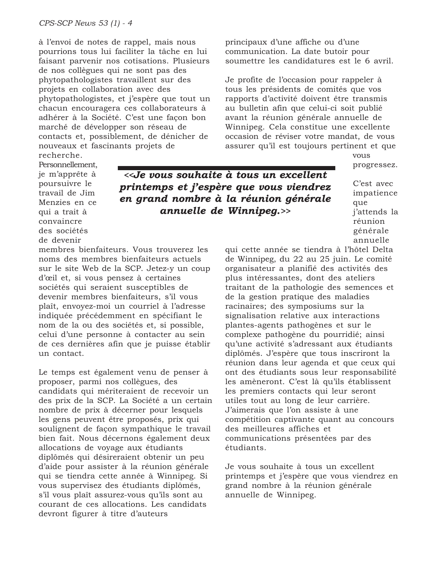à l'envoi de notes de rappel, mais nous pourrions tous lui faciliter la tâche en lui faisant parvenir nos cotisations. Plusieurs de nos collègues qui ne sont pas des phytopathologistes travaillent sur des projets en collaboration avec des phytopathologistes, et j'espère que tout un chacun encouragera ces collaborateurs à adhérer à la Société. C'est une façon bon marché de développer son réseau de contacts et, possiblement, de dénicher de nouveaux et fascinants projets de recherche.

principaux d'une affiche ou d'une communication. La date butoir pour soumettre les candidatures est le 6 avril.

Je profite de l'occasion pour rappeler à tous les présidents de comités que vos rapports d'activité doivent être transmis au bulletin afin que celui-ci soit publié avant la réunion générale annuelle de Winnipeg. Cela constitue une excellente occasion de réviser votre mandat, de vous assurer qu'il est toujours pertinent et que

> vous progressez.

Personnellement, je m'apprête à poursuivre le travail de Jim Menzies en ce qui a trait à convaincre des sociétés de devenir

*<<Je vous souhaite à tous un excellent printemps et j'espère que vous viendrez en grand nombre à la réunion générale annuelle de Winnipeg.>>*

C'est avec impatience que j'attends la réunion générale annuelle

membres bienfaiteurs. Vous trouverez les noms des membres bienfaiteurs actuels sur le site Web de la SCP. Jetez-y un coup d'œil et, si vous pensez à certaines sociétés qui seraient susceptibles de devenir membres bienfaiteurs, s'il vous plaît, envoyez-moi un courriel à l'adresse indiquée précédemment en spécifiant le nom de la ou des sociétés et, si possible, celui d'une personne à contacter au sein de ces dernières afin que je puisse établir un contact.

Le temps est également venu de penser à proposer, parmi nos collègues, des candidats qui mériteraient de recevoir un des prix de la SCP. La Société a un certain nombre de prix à décerner pour lesquels les gens peuvent être proposés, prix qui soulignent de façon sympathique le travail bien fait. Nous décernons également deux allocations de voyage aux étudiants diplômés qui désireraient obtenir un peu d'aide pour assister à la réunion générale qui se tiendra cette année à Winnipeg. Si vous supervisez des étudiants diplômés, s'il vous plaît assurez-vous qu'ils sont au courant de ces allocations. Les candidats devront figurer à titre d'auteurs

qui cette année se tiendra à l'hôtel Delta de Winnipeg, du 22 au 25 juin. Le comité organisateur a planifié des activités des plus intéressantes, dont des ateliers traitant de la pathologie des semences et de la gestion pratique des maladies racinaires; des symposiums sur la signalisation relative aux interactions plantes-agents pathogènes et sur le complexe pathogène du pourridié; ainsi qu'une activité s'adressant aux étudiants diplômés. J'espère que tous inscriront la réunion dans leur agenda et que ceux qui ont des étudiants sous leur responsabilité les amèneront. C'est là qu'ils établissent les premiers contacts qui leur seront utiles tout au long de leur carrière. J'aimerais que l'on assiste à une compétition captivante quant au concours des meilleures affiches et communications présentées par des étudiants.

Je vous souhaite à tous un excellent printemps et j'espère que vous viendrez en grand nombre à la réunion générale annuelle de Winnipeg.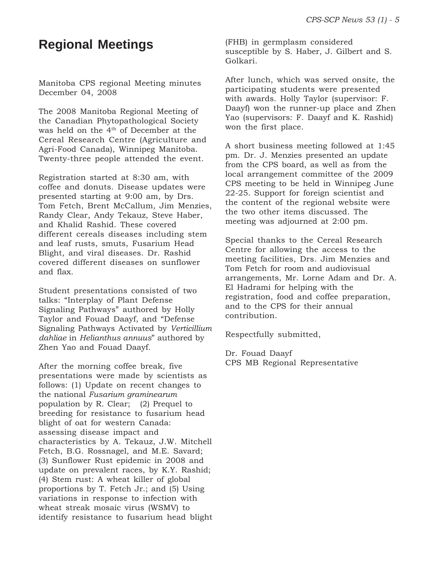# **Regional Meetings**

Manitoba CPS regional Meeting minutes December 04, 2008

The 2008 Manitoba Regional Meeting of the Canadian Phytopathological Society was held on the 4th of December at the Cereal Research Centre (Agriculture and Agri-Food Canada), Winnipeg Manitoba. Twenty-three people attended the event.

Registration started at 8:30 am, with coffee and donuts. Disease updates were presented starting at 9:00 am, by Drs. Tom Fetch, Brent McCallum, Jim Menzies, Randy Clear, Andy Tekauz, Steve Haber, and Khalid Rashid. These covered different cereals diseases including stem and leaf rusts, smuts, Fusarium Head Blight, and viral diseases. Dr. Rashid covered different diseases on sunflower and flax.

Student presentations consisted of two talks: "Interplay of Plant Defense Signaling Pathways" authored by Holly Taylor and Fouad Daayf, and "Defense Signaling Pathways Activated by *Verticillium dahliae* in *Helianthus annuus*" authored by Zhen Yao and Fouad Daayf.

After the morning coffee break, five presentations were made by scientists as follows: (1) Update on recent changes to the national *Fusarium graminearum* population by R. Clear; (2) Prequel to breeding for resistance to fusarium head blight of oat for western Canada: assessing disease impact and characteristics by A. Tekauz, J.W. Mitchell Fetch, B.G. Rossnagel, and M.E. Savard; (3) Sunflower Rust epidemic in 2008 and update on prevalent races, by K.Y. Rashid; (4) Stem rust: A wheat killer of global proportions by T. Fetch Jr.; and (5) Using variations in response to infection with wheat streak mosaic virus (WSMV) to identify resistance to fusarium head blight (FHB) in germplasm considered susceptible by S. Haber, J. Gilbert and S. Golkari.

After lunch, which was served onsite, the participating students were presented with awards. Holly Taylor (supervisor: F. Daayf) won the runner-up place and Zhen Yao (supervisors: F. Daayf and K. Rashid) won the first place.

A short business meeting followed at 1:45 pm. Dr. J. Menzies presented an update from the CPS board, as well as from the local arrangement committee of the 2009 CPS meeting to be held in Winnipeg June 22-25. Support for foreign scientist and the content of the regional website were the two other items discussed. The meeting was adjourned at 2:00 pm.

Special thanks to the Cereal Research Centre for allowing the access to the meeting facilities, Drs. Jim Menzies and Tom Fetch for room and audiovisual arrangements, Mr. Lorne Adam and Dr. A. El Hadrami for helping with the registration, food and coffee preparation, and to the CPS for their annual contribution.

Respectfully submitted,

Dr. Fouad Daayf CPS MB Regional Representative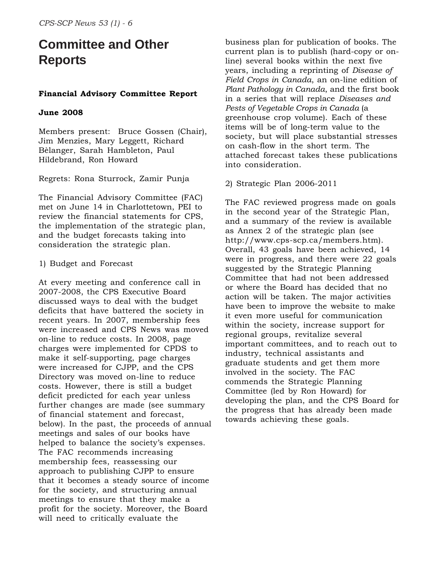# **Committee and Other Reports**

# **Financial Advisory Committee Report**

#### **June 2008**

Members present: Bruce Gossen (Chair), Jim Menzies, Mary Leggett, Richard Bèlanger, Sarah Hambleton, Paul Hildebrand, Ron Howard

Regrets: Rona Sturrock, Zamir Punja

The Financial Advisory Committee (FAC) met on June 14 in Charlottetown, PEI to review the financial statements for CPS, the implementation of the strategic plan, and the budget forecasts taking into consideration the strategic plan.

#### 1) Budget and Forecast

At every meeting and conference call in 2007-2008, the CPS Executive Board discussed ways to deal with the budget deficits that have battered the society in recent years. In 2007, membership fees were increased and CPS News was moved on-line to reduce costs. In 2008, page charges were implemented for CPDS to make it self-supporting, page charges were increased for CJPP, and the CPS Directory was moved on-line to reduce costs. However, there is still a budget deficit predicted for each year unless further changes are made (see summary of financial statement and forecast, below). In the past, the proceeds of annual meetings and sales of our books have helped to balance the society's expenses. The FAC recommends increasing membership fees, reassessing our approach to publishing CJPP to ensure that it becomes a steady source of income for the society, and structuring annual meetings to ensure that they make a profit for the society. Moreover, the Board will need to critically evaluate the

business plan for publication of books. The current plan is to publish (hard-copy or online) several books within the next five years, including a reprinting of *Disease of Field Crops in Canada*, an on-line edition of *Plant Pathology in Canada*, and the first book in a series that will replace *Diseases and Pests of Vegetable Crops in Canada* (a greenhouse crop volume). Each of these items will be of long-term value to the society, but will place substantial stresses on cash-flow in the short term. The attached forecast takes these publications into consideration.

#### 2) Strategic Plan 2006-2011

The FAC reviewed progress made on goals in the second year of the Strategic Plan, and a summary of the review is available as Annex 2 of the strategic plan (see http://www.cps-scp.ca/members.htm). Overall, 43 goals have been achieved, 14 were in progress, and there were 22 goals suggested by the Strategic Planning Committee that had not been addressed or where the Board has decided that no action will be taken. The major activities have been to improve the website to make it even more useful for communication within the society, increase support for regional groups, revitalize several important committees, and to reach out to industry, technical assistants and graduate students and get them more involved in the society. The FAC commends the Strategic Planning Committee (led by Ron Howard) for developing the plan, and the CPS Board for the progress that has already been made towards achieving these goals.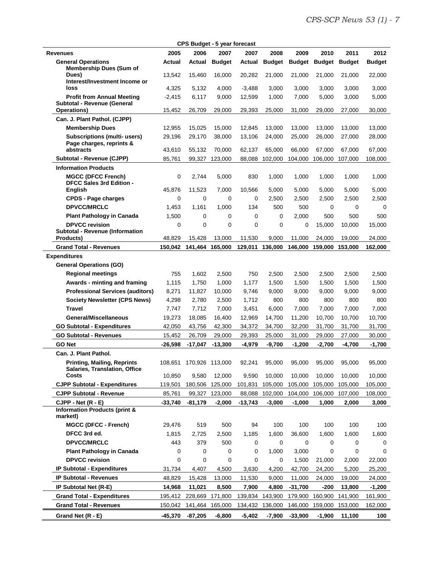|                                                                                      |                   | CPS Budget - 5 year forecast |                   |             |                  |                   |                   |                   |                   |
|--------------------------------------------------------------------------------------|-------------------|------------------------------|-------------------|-------------|------------------|-------------------|-------------------|-------------------|-------------------|
| <b>Revenues</b>                                                                      | 2005              | 2006                         | 2007              | 2007        | 2008             | 2009              | 2010              | 2011              | 2012              |
| <b>General Operations</b><br><b>Membership Dues (Sum of</b>                          | Actual            | Actual                       | <b>Budget</b>     | Actual      | <b>Budget</b>    | <b>Budget</b>     | <b>Budget</b>     | <b>Budget</b>     | <b>Budget</b>     |
| Dues)<br>Interest/Investment Income or                                               | 13,542            | 15,460                       | 16,000            | 20,282      | 21,000           | 21,000            | 21.000            | 21,000            | 22.000            |
| loss                                                                                 | 4,325             | 5,132                        | 4,000             | $-3,488$    | 3,000            | 3,000             | 3,000             | 3,000             | 3,000             |
| <b>Profit from Annual Meeting</b><br>Subtotal - Revenue (General                     | $-2,415$          | 6,117                        | 9,000             | 12,599      | 1,000            | 7,000             | 5,000             | 3,000             | 5,000             |
| Operations)                                                                          | 15,452            | 26,709                       | 29,000            | 29.393      | 25,000           | 31,000            | 29.000            | 27,000            | 30,000            |
| Can. J. Plant Pathol. (CJPP)                                                         |                   |                              |                   |             |                  |                   |                   |                   |                   |
| <b>Membership Dues</b>                                                               | 12,955            | 15,025                       | 15,000            | 12,845      | 13,000           | 13,000            | 13,000            | 13,000            | 13,000            |
| <b>Subscriptions (multi- users)</b><br>Page charges, reprints &                      | 29,196            | 29,170                       | 38,000            | 13,106      | 24,000           | 25,000            | 26,000            | 27,000            | 28,000            |
| abstracts                                                                            | 43,610            | 55,132                       | 70,000            | 62,137      | 65,000           | 66,000            | 67,000            | 67,000            | 67,000            |
| Subtotal - Revenue (CJPP)                                                            | 85,761            | 99,327                       | 123,000           | 88,088      | 102,000          | 104,000           | 106,000           | 107,000           | 108,000           |
| <b>Information Products</b><br><b>MGCC (DFCC French)</b><br>DFCC Sales 3rd Edition - | 0                 | 2.744                        | 5,000             | 830         | 1,000            | 1,000             | 1,000             | 1,000             | 1,000             |
| <b>English</b>                                                                       | 45,876            | 11,523                       | 7,000             | 10,566      | 5,000            | 5,000             | 5,000             | 5,000             | 5,000             |
| <b>CPDS - Page charges</b>                                                           | $\mathbf 0$       | 0                            | 0                 | 0           | 2.500            | 2,500             | 2,500             | 2,500             | 2,500             |
| <b>DPVCC/MRCLC</b>                                                                   | 1,453             | 1,161                        | 1,000             | 134         | 500              | 500               | 0                 | 0                 |                   |
| <b>Plant Pathology in Canada</b>                                                     | 1,500             | 0                            | 0                 | 0           | 0                | 2,000             | 500               | 500               | 500               |
| <b>DPVCC revision</b><br><b>Subtotal - Revenue (Information</b>                      | 0                 | 0                            | 0                 | 0<br>11.530 | 0                | 0                 | 15,000            | 10,000            | 15,000            |
| Products)<br><b>Grand Total - Revenues</b>                                           | 48,829<br>150,042 | 15,428<br>141,464            | 13,000<br>165,000 | 129,011     | 9,000<br>136,000 | 11,000<br>146,000 | 24,000<br>159,000 | 19,000<br>153,000 | 24,000<br>162,000 |
|                                                                                      |                   |                              |                   |             |                  |                   |                   |                   |                   |
| <b>Expenditures</b><br><b>General Operations (GO)</b>                                |                   |                              |                   |             |                  |                   |                   |                   |                   |
| <b>Regional meetings</b>                                                             | 755               | 1,602                        | 2,500             | 750         | 2,500            | 2,500             | 2,500             | 2,500             | 2,500             |
| Awards - minting and framing                                                         | 1,115             | 1,750                        | 1,000             | 1,177       | 1,500            | 1,500             | 1,500             | 1,500             | 1,500             |
| <b>Professional Services (auditors)</b>                                              | 8,271             | 11,827                       | 10,000            | 9,746       | 9,000            | 9,000             | 9,000             | 9,000             | 9,000             |
| <b>Society Newsletter (CPS News)</b>                                                 | 4,298             | 2,780                        | 2,500             | 1,712       | 800              | 800               | 800               | 800               | 800               |
| <b>Travel</b>                                                                        | 7,747             | 7,712                        | 7,000             | 3,451       | 6,000            | 7,000             | 7,000             | 7,000             | 7,000             |
| General/Miscellaneous                                                                | 19,273            | 18,085                       | 16,400            | 12,969      | 14,700           | 11,200            | 10,700            | 10,700            | 10,700            |
| <b>GO Subtotal - Expenditures</b>                                                    | 42,050            | 43,756                       | 42,300            | 34,372      | 34,700           | 32,200            | 31,700            | 31,700            | 31,700            |
| <b>GO Subtotal - Revenues</b>                                                        | 15,452            | 26,709                       | 29,000            | 29,393      | 25,000           | 31,000            | 29,000            | 27,000            | 30,000            |
| GO Net                                                                               | $-26,598$         | $-17,047$                    | $-13,300$         | $-4,979$    | $-9,700$         | $-1,200$          | $-2,700$          | $-4,700$          | $-1,700$          |
| Can. J. Plant Pathol.                                                                |                   |                              |                   |             |                  |                   |                   |                   |                   |
| <b>Printing, Mailing, Reprints</b><br>Salaries, Translation, Office                  |                   | 108,651 170,926 113,000      |                   | 92,241      | 95,000           | 95,000            | 95,000            | 95,000            | 95,000            |
| Costs                                                                                | 10,850            | 9,580                        | 12,000            | 9,590       | 10,000           | 10,000            | 10,000            | 10,000            | 10,000            |
| <b>CJPP Subtotal - Expenditures</b>                                                  | 119,501           | 180,506                      | 125,000           | 101,831     | 105,000          | 105,000           | 105,000           | 105,000           | 105,000           |
| <b>CJPP Subtotal - Revenue</b>                                                       | 85,761            | 99,327                       | 123,000           | 88,088      | 102,000          | 104,000           | 106,000           | 107,000           | 108,000           |
| $CJPP - Net (R - E)$                                                                 | $-33,740$         | $-81,179$                    | $-2,000$          | $-13,743$   | $-3,000$         | $-1,000$          | 1,000             | 2,000             | 3,000             |
| <b>Information Products (print &amp;</b><br>marketl)                                 |                   |                              |                   |             |                  |                   |                   |                   |                   |
| <b>MGCC (DFCC - French)</b>                                                          | 29,476            | 519                          | 500               | 94          | 100              | 100               | 100               | 100               | 100               |
| DFCC 3rd ed.                                                                         | 1,815             | 2,725                        | 2,500             | 1,185       | 1,600            | 36,600            | 1,600             | 1,600             | 1,600             |
| <b>DPVCC/MRCLC</b>                                                                   | 443               | 379                          | 500               | 0           | 0                | 0                 | 0                 | 0                 |                   |
| <b>Plant Pathology in Canada</b>                                                     | 0                 | 0                            | 0                 | 0           | 1,000            | 3,000             | 0                 | 0                 |                   |
| <b>DPVCC revision</b>                                                                | 0                 | 0                            | 0                 | 0           | 0                | 1,500             | 21,000            | 2,000             | 22,000            |
| <b>IP Subtotal - Expenditures</b>                                                    | 31,734            | 4,407                        | 4,500             | 3,630       | 4,200            | 42,700            | 24,200            | 5,200             | 25,200            |
| <b>IP Subtotal - Revenues</b>                                                        | 48,829            | 15,428                       | 13,000            | 11,530      | 9,000            | 11,000            | 24,000            | 19,000            | 24,000            |
| IP Subtotal Net (R-E)                                                                | 14,968            | 11,021                       | 8,500             | 7,900       | 4,800            | $-31,700$         | $-200$            | 13,800            | $-1,200$          |
| <b>Grand Total - Expenditures</b>                                                    | 195,412           |                              | 228,669 171,800   |             | 139,834 143,900  | 179,900           | 160,900           | 141,900           | 161,900           |
| <b>Grand Total - Revenues</b>                                                        | 150,042           | 141,464                      | 165,000           | 134,432     | 136,000          | 146,000           | 159,000           | 153,000           | 162,000           |
| Grand Net (R - E)                                                                    | -45,370           | $-87,205$                    | -6,800            | -5,402      | $-7,900$         | $-33,900$         | $-1,900$          | 11,100            | 100               |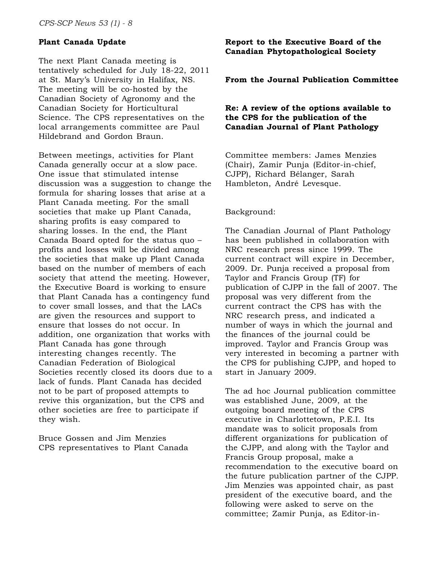## **Plant Canada Update**

The next Plant Canada meeting is tentatively scheduled for July 18-22, 2011 at St. Mary's University in Halifax, NS. The meeting will be co-hosted by the Canadian Society of Agronomy and the Canadian Society for Horticultural Science. The CPS representatives on the local arrangements committee are Paul Hildebrand and Gordon Braun.

Between meetings, activities for Plant Canada generally occur at a slow pace. One issue that stimulated intense discussion was a suggestion to change the formula for sharing losses that arise at a Plant Canada meeting. For the small societies that make up Plant Canada, sharing profits is easy compared to sharing losses. In the end, the Plant Canada Board opted for the status quo – profits and losses will be divided among the societies that make up Plant Canada based on the number of members of each society that attend the meeting. However, the Executive Board is working to ensure that Plant Canada has a contingency fund to cover small losses, and that the LACs are given the resources and support to ensure that losses do not occur. In addition, one organization that works with Plant Canada has gone through interesting changes recently. The Canadian Federation of Biological Societies recently closed its doors due to a lack of funds. Plant Canada has decided not to be part of proposed attempts to revive this organization, but the CPS and other societies are free to participate if they wish.

Bruce Gossen and Jim Menzies CPS representatives to Plant Canada

#### **Report to the Executive Board of the Canadian Phytopathological Society**

#### **From the Journal Publication Committee**

#### **Re: A review of the options available to the CPS for the publication of the Canadian Journal of Plant Pathology**

Committee members: James Menzies (Chair), Zamir Punja (Editor-in-chief, CJPP), Richard Bélanger, Sarah Hambleton, André Levesque.

#### Background:

The Canadian Journal of Plant Pathology has been published in collaboration with NRC research press since 1999. The current contract will expire in December, 2009. Dr. Punja received a proposal from Taylor and Francis Group (TF) for publication of CJPP in the fall of 2007. The proposal was very different from the current contract the CPS has with the NRC research press, and indicated a number of ways in which the journal and the finances of the journal could be improved. Taylor and Francis Group was very interested in becoming a partner with the CPS for publishing CJPP, and hoped to start in January 2009.

The ad hoc Journal publication committee was established June, 2009, at the outgoing board meeting of the CPS executive in Charlottetown, P.E.I. Its mandate was to solicit proposals from different organizations for publication of the CJPP, and along with the Taylor and Francis Group proposal, make a recommendation to the executive board on the future publication partner of the CJPP. Jim Menzies was appointed chair, as past president of the executive board, and the following were asked to serve on the committee; Zamir Punja, as Editor-in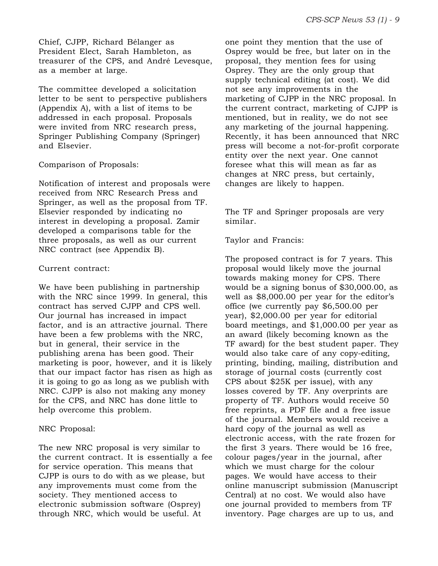Chief, CJPP, Richard Bélanger as President Elect, Sarah Hambleton, as treasurer of the CPS, and André Levesque, as a member at large.

The committee developed a solicitation letter to be sent to perspective publishers (Appendix A), with a list of items to be addressed in each proposal. Proposals were invited from NRC research press, Springer Publishing Company (Springer) and Elsevier.

#### Comparison of Proposals:

Notification of interest and proposals were received from NRC Research Press and Springer, as well as the proposal from TF. Elsevier responded by indicating no interest in developing a proposal. Zamir developed a comparisons table for the three proposals, as well as our current NRC contract (see Appendix B).

# Current contract:

We have been publishing in partnership with the NRC since 1999. In general, this contract has served CJPP and CPS well. Our journal has increased in impact factor, and is an attractive journal. There have been a few problems with the NRC, but in general, their service in the publishing arena has been good. Their marketing is poor, however, and it is likely that our impact factor has risen as high as it is going to go as long as we publish with NRC. CJPP is also not making any money for the CPS, and NRC has done little to help overcome this problem.

# NRC Proposal:

The new NRC proposal is very similar to the current contract. It is essentially a fee for service operation. This means that CJPP is ours to do with as we please, but any improvements must come from the society. They mentioned access to electronic submission software (Osprey) through NRC, which would be useful. At

one point they mention that the use of Osprey would be free, but later on in the proposal, they mention fees for using Osprey. They are the only group that supply technical editing (at cost). We did not see any improvements in the marketing of CJPP in the NRC proposal. In the current contract, marketing of CJPP is mentioned, but in reality, we do not see any marketing of the journal happening. Recently, it has been announced that NRC press will become a not-for-profit corporate entity over the next year. One cannot foresee what this will mean as far as changes at NRC press, but certainly, changes are likely to happen.

The TF and Springer proposals are very similar.

Taylor and Francis:

The proposed contract is for 7 years. This proposal would likely move the journal towards making money for CPS. There would be a signing bonus of \$30,000.00, as well as \$8,000.00 per year for the editor's office (we currently pay \$6,500.00 per year), \$2,000.00 per year for editorial board meetings, and \$1,000.00 per year as an award (likely becoming known as the TF award) for the best student paper. They would also take care of any copy-editing, printing, binding, mailing, distribution and storage of journal costs (currently cost CPS about \$25K per issue), with any losses covered by TF. Any overprints are property of TF. Authors would receive 50 free reprints, a PDF file and a free issue of the journal. Members would receive a hard copy of the journal as well as electronic access, with the rate frozen for the first 3 years. There would be 16 free, colour pages/year in the journal, after which we must charge for the colour pages. We would have access to their online manuscript submission (Manuscript Central) at no cost. We would also have one journal provided to members from TF inventory. Page charges are up to us, and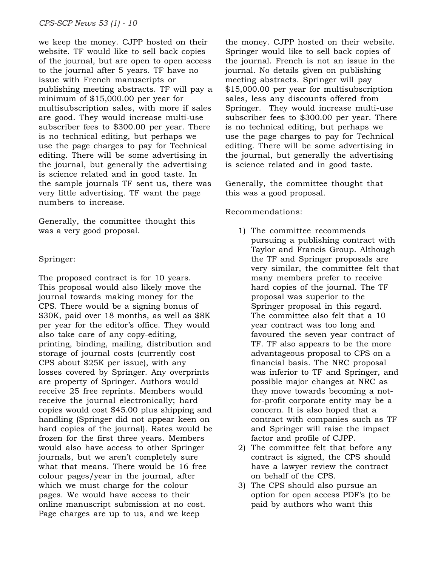we keep the money. CJPP hosted on their website. TF would like to sell back copies of the journal, but are open to open access to the journal after 5 years. TF have no issue with French manuscripts or publishing meeting abstracts. TF will pay a minimum of \$15,000.00 per year for multisubscription sales, with more if sales are good. They would increase multi-use subscriber fees to \$300.00 per year. There is no technical editing, but perhaps we use the page charges to pay for Technical editing. There will be some advertising in the journal, but generally the advertising is science related and in good taste. In the sample journals TF sent us, there was very little advertising. TF want the page numbers to increase.

Generally, the committee thought this was a very good proposal.

#### Springer:

The proposed contract is for 10 years. This proposal would also likely move the journal towards making money for the CPS. There would be a signing bonus of \$30K, paid over 18 months, as well as \$8K per year for the editor's office. They would also take care of any copy-editing, printing, binding, mailing, distribution and storage of journal costs (currently cost CPS about \$25K per issue), with any losses covered by Springer. Any overprints are property of Springer. Authors would receive 25 free reprints. Members would receive the journal electronically; hard copies would cost \$45.00 plus shipping and handling (Springer did not appear keen on hard copies of the journal). Rates would be frozen for the first three years. Members would also have access to other Springer journals, but we aren't completely sure what that means. There would be 16 free colour pages/year in the journal, after which we must charge for the colour pages. We would have access to their online manuscript submission at no cost. Page charges are up to us, and we keep

the money. CJPP hosted on their website. Springer would like to sell back copies of the journal. French is not an issue in the journal. No details given on publishing meeting abstracts. Springer will pay \$15,000.00 per year for multisubscription sales, less any discounts offered from Springer. They would increase multi-use subscriber fees to \$300.00 per year. There is no technical editing, but perhaps we use the page charges to pay for Technical editing. There will be some advertising in the journal, but generally the advertising is science related and in good taste.

Generally, the committee thought that this was a good proposal.

#### Recommendations:

- 1) The committee recommends pursuing a publishing contract with Taylor and Francis Group. Although the TF and Springer proposals are very similar, the committee felt that many members prefer to receive hard copies of the journal. The TF proposal was superior to the Springer proposal in this regard. The committee also felt that a 10 year contract was too long and favoured the seven year contract of TF. TF also appears to be the more advantageous proposal to CPS on a financial basis. The NRC proposal was inferior to TF and Springer, and possible major changes at NRC as they move towards becoming a notfor-profit corporate entity may be a concern. It is also hoped that a contract with companies such as TF and Springer will raise the impact factor and profile of CJPP.
- 2) The committee felt that before any contract is signed, the CPS should have a lawyer review the contract on behalf of the CPS.
- 3) The CPS should also pursue an option for open access PDF's (to be paid by authors who want this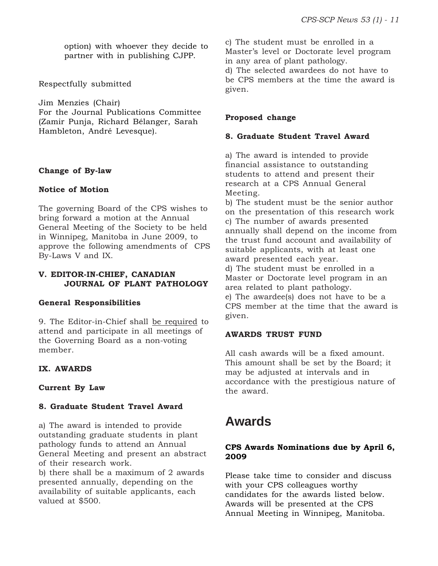option) with whoever they decide to partner with in publishing CJPP.

Respectfully submitted

Jim Menzies (Chair) For the Journal Publications Committee (Zamir Punja, Richard Bélanger, Sarah Hambleton, André Levesque).

#### **Change of By-law**

#### **Notice of Motion**

The governing Board of the CPS wishes to bring forward a motion at the Annual General Meeting of the Society to be held in Winnipeg, Manitoba in June 2009, to approve the following amendments of CPS By-Laws V and IX.

# **V. EDITOR-IN-CHIEF, CANADIAN JOURNAL OF PLANT PATHOLOGY**

# **General Responsibilities**

9. The Editor-in-Chief shall be required to attend and participate in all meetings of the Governing Board as a non-voting member.

# **IX. AWARDS**

#### **Current By Law**

# **8. Graduate Student Travel Award**

a) The award is intended to provide outstanding graduate students in plant pathology funds to attend an Annual General Meeting and present an abstract of their research work.

b) there shall be a maximum of 2 awards presented annually, depending on the availability of suitable applicants, each valued at \$500.

c) The student must be enrolled in a Master's level or Doctorate level program in any area of plant pathology.

d) The selected awardees do not have to be CPS members at the time the award is given.

# **Proposed change**

#### **8. Graduate Student Travel Award**

a) The award is intended to provide financial assistance to outstanding students to attend and present their research at a CPS Annual General Meeting.

b) The student must be the senior author on the presentation of this research work c) The number of awards presented annually shall depend on the income from the trust fund account and availability of suitable applicants, with at least one award presented each year.

d) The student must be enrolled in a Master or Doctorate level program in an area related to plant pathology.

e) The awardee(s) does not have to be a CPS member at the time that the award is given.

# **AWARDS TRUST FUND**

All cash awards will be a fixed amount. This amount shall be set by the Board; it may be adjusted at intervals and in accordance with the prestigious nature of the award.

# **Awards**

#### **CPS Awards Nominations due by April 6, 2009**

Please take time to consider and discuss with your CPS colleagues worthy candidates for the awards listed below. Awards will be presented at the CPS Annual Meeting in Winnipeg, Manitoba.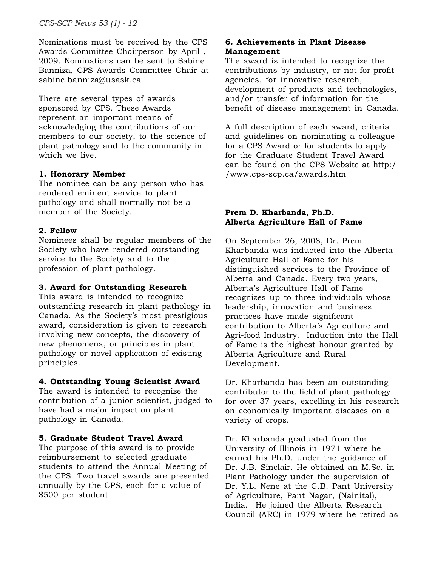Nominations must be received by the CPS Awards Committee Chairperson by April , 2009. Nominations can be sent to Sabine Banniza, CPS Awards Committee Chair at sabine.banniza@usask.ca

There are several types of awards sponsored by CPS. These Awards represent an important means of acknowledging the contributions of our members to our society, to the science of plant pathology and to the community in which we live.

# **1. Honorary Member**

The nominee can be any person who has rendered eminent service to plant pathology and shall normally not be a member of the Society.

# **2. Fellow**

Nominees shall be regular members of the Society who have rendered outstanding service to the Society and to the profession of plant pathology.

# **3. Award for Outstanding Research**

This award is intended to recognize outstanding research in plant pathology in Canada. As the Society's most prestigious award, consideration is given to research involving new concepts, the discovery of new phenomena, or principles in plant pathology or novel application of existing principles.

# **4. Outstanding Young Scientist Award**

The award is intended to recognize the contribution of a junior scientist, judged to have had a major impact on plant pathology in Canada.

# **5. Graduate Student Travel Award**

The purpose of this award is to provide reimbursement to selected graduate students to attend the Annual Meeting of the CPS. Two travel awards are presented annually by the CPS, each for a value of \$500 per student.

# **6. Achievements in Plant Disease Management**

The award is intended to recognize the contributions by industry, or not-for-profit agencies, for innovative research, development of products and technologies, and/or transfer of information for the benefit of disease management in Canada.

A full description of each award, criteria and guidelines on nominating a colleague for a CPS Award or for students to apply for the Graduate Student Travel Award can be found on the CPS Website at http:/ /www.cps-scp.ca/awards.htm

# **Prem D. Kharbanda, Ph.D. Alberta Agriculture Hall of Fame**

On September 26, 2008, Dr. Prem Kharbanda was inducted into the Alberta Agriculture Hall of Fame for his distinguished services to the Province of Alberta and Canada. Every two years, Alberta's Agriculture Hall of Fame recognizes up to three individuals whose leadership, innovation and business practices have made significant contribution to Alberta's Agriculture and Agri-food Industry. Induction into the Hall of Fame is the highest honour granted by Alberta Agriculture and Rural Development.

Dr. Kharbanda has been an outstanding contributor to the field of plant pathology for over 37 years, excelling in his research on economically important diseases on a variety of crops.

Dr. Kharbanda graduated from the University of Illinois in 1971 where he earned his Ph.D. under the guidance of Dr. J.B. Sinclair. He obtained an M.Sc. in Plant Pathology under the supervision of Dr. Y.L. Nene at the G.B. Pant University of Agriculture, Pant Nagar, (Nainital), India. He joined the Alberta Research Council (ARC) in 1979 where he retired as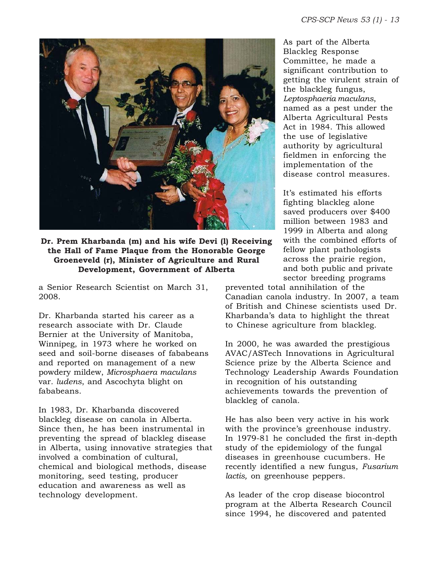

**Dr. Prem Kharbanda (m) and his wife Devi (l) Receiving the Hall of Fame Plaque from the Honorable George Groeneveld (r), Minister of Agriculture and Rural Development, Government of Alberta**

a Senior Research Scientist on March 31, 2008.

Dr. Kharbanda started his career as a research associate with Dr. Claude Bernier at the University of Manitoba, Winnipeg, in 1973 where he worked on seed and soil-borne diseases of fababeans and reported on management of a new powdery mildew, *Microsphaera maculans* var*. ludens*, and Ascochyta blight on fababeans.

In 1983, Dr. Kharbanda discovered blackleg disease on canola in Alberta. Since then, he has been instrumental in preventing the spread of blackleg disease in Alberta, using innovative strategies that involved a combination of cultural, chemical and biological methods, disease monitoring, seed testing, producer education and awareness as well as technology development.

As part of the Alberta Blackleg Response Committee, he made a significant contribution to getting the virulent strain of the blackleg fungus, *Leptosphaeria maculans*, named as a pest under the Alberta Agricultural Pests Act in 1984. This allowed the use of legislative authority by agricultural fieldmen in enforcing the implementation of the disease control measures.

It's estimated his efforts fighting blackleg alone saved producers over \$400 million between 1983 and 1999 in Alberta and along with the combined efforts of fellow plant pathologists across the prairie region, and both public and private sector breeding programs

prevented total annihilation of the Canadian canola industry. In 2007, a team of British and Chinese scientists used Dr. Kharbanda's data to highlight the threat to Chinese agriculture from blackleg.

In 2000, he was awarded the prestigious AVAC/ASTech Innovations in Agricultural Science prize by the Alberta Science and Technology Leadership Awards Foundation in recognition of his outstanding achievements towards the prevention of blackleg of canola.

He has also been very active in his work with the province's greenhouse industry. In 1979-81 he concluded the first in-depth study of the epidemiology of the fungal diseases in greenhouse cucumbers. He recently identified a new fungus, *Fusarium lactis,* on greenhouse peppers.

As leader of the crop disease biocontrol program at the Alberta Research Council since 1994, he discovered and patented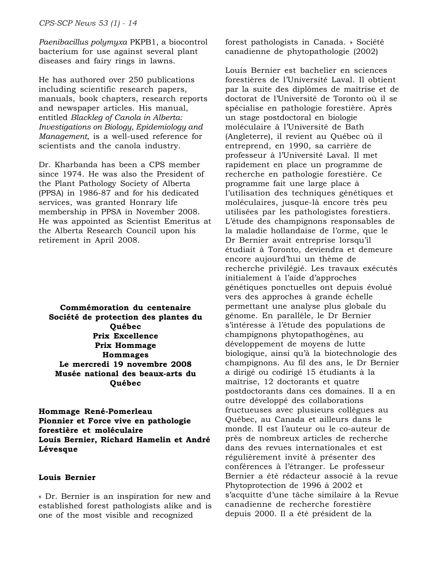*Paenibacillus polymyxa* PKPB1, a biocontrol bacterium for use against several plant diseases and fairy rings in lawns.

He has authored over 250 publications including scientific research papers, manuals, book chapters, research reports and newspaper articles. His manual, entitled *Blackleg of Canola in Alberta: Investigations on Biology, Epidemiology and Management,* is a well-used reference for scientists and the canola industry.

Dr. Kharbanda has been a CPS member since 1974. He was also the President of the Plant Pathology Society of Alberta (PPSA) in 1986-87 and for his dedicated services, was granted Honrary life membership in PPSA in November 2008. He was appointed as Scientist Emeritus at the Alberta Research Council upon his retirement in April 2008.

**Commémoration du centenaire Société de protection des plantes du Québec Prix Excellence Prix Hommage Hommages Le mercredi 19 novembre 2008 Musée national des beaux-arts du Québec**

**Hommage René-Pomerleau Pionnier et Force vive en pathologie forestière et moléculaire Louis Bernier, Richard Hamelin et André Lévesque**

# **Louis Bernier**

« Dr. Bernier is an inspiration for new and established forest pathologists alike and is one of the most visible and recognized

forest pathologists in Canada. » Société canadienne de phytopathologie (2002)

Louis Bernier est bachelier en sciences forestières de l'Université Laval. Il obtient par la suite des diplômes de maîtrise et de doctorat de l'Université de Toronto où il se spécialise en pathologie forestière. Après un stage postdoctoral en biologie moléculaire à l'Université de Bath (Angleterre), il revient au Québec où il entreprend, en 1990, sa carrière de professeur à l'Université Laval. Il met rapidement en place un programme de recherche en pathologie forestière. Ce programme fait une large place à l'utilisation des techniques génétiques et moléculaires, jusque-là encore très peu utilisées par les pathologistes forestiers. L'étude des champignons responsables de la maladie hollandaise de l'orme, que le Dr Bernier avait entreprise lorsqu'il étudiait à Toronto, deviendra et demeure encore aujourd'hui un thème de recherche privilégié. Les travaux exécutés initialement à l'aide d'approches génétiques ponctuelles ont depuis évolué vers des approches à grande échelle permettant une analyse plus globale du génome. En parallèle, le Dr Bernier s'intéresse à l'étude des populations de champignons phytopathogènes, au développement de moyens de lutte biologique, ainsi qu'à la biotechnologie des champignons. Au fil des ans, le Dr Bernier a dirigé ou codirigé 15 étudiants à la maîtrise, 12 doctorants et quatre postdoctorants dans ces domaines. Il a en outre développé des collaborations fructueuses avec plusieurs collègues au Québec, au Canada et ailleurs dans le monde. Il est l'auteur ou le co-auteur de près de nombreux articles de recherche dans des revues internationales et est régulièrement invité à présenter des conférences à l'étranger. Le professeur Bernier a été rédacteur associé à la revue Phytoprotection de 1996 à 2002 et s'acquitte d'une tâche similaire à la Revue canadienne de recherche forestière depuis 2000. Il a été président de la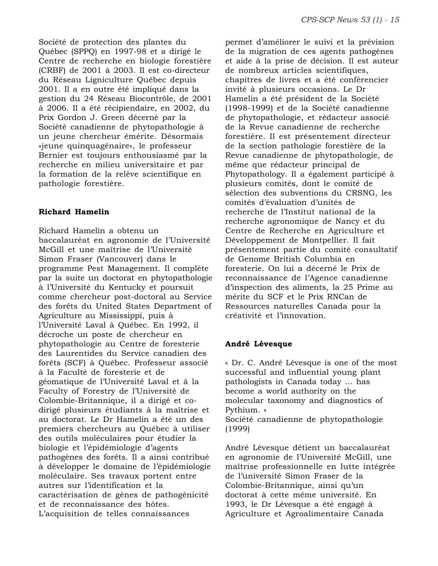Société de protection des plantes du Québec (SPPQ) en 1997-98 et a dirigé le Centre de recherche en biologie forestière (CRBF) de 2001 à 2003. Il est co-directeur du Réseau Ligniculture Québec depuis 2001. Il a en outre été impliqué dans la gestion du 24 Réseau Biocontrôle, de 2001 à 2006. Il a été récipiendaire, en 2002, du Prix Gordon J. Green décerné par la Société canadienne de phytopathologie à un jeune chercheur émérite. Désormais «jeune quinquagénaire», le professeur Bernier est toujours enthousiasmé par la recherche en milieu universitaire et par la formation de la relève scientifique en pathologie forestière.

# **Richard Hamelin**

Richard Hamelin a obtenu un baccalauréat en agronomie de l'Université McGill et une maîtrise de l'Université Simon Fraser (Vancouver) dans le programme Pest Management. Il complète par la suite un doctorat en phytopathologie à l'Université du Kentucky et poursuit comme chercheur post-doctoral au Service des forêts du United States Department of Agriculture au Mississippi, puis à l'Université Laval à Québec. En 1992, il décroche un poste de chercheur en phytopathologie au Centre de foresterie des Laurentides du Service canadien des forêts (SCF) à Québec. Professeur associé à la Faculté de foresterie et de géomatique de l'Université Laval et à la Faculty of Forestry de l'Université de Colombie-Britannique, il a dirigé et codirigé plusieurs étudiants à la maîtrise et au doctorat. Le Dr Hamelin a été un des premiers chercheurs au Québec à utiliser des outils moléculaires pour étudier la biologie et l'épidémiologie d'agents pathogènes des forêts. Il a ainsi contribué à développer le domaine de l'épidémiologie moléculaire. Ses travaux portent entre autres sur l'identification et la caractérisation de gènes de pathogénicité et de reconnaissance des hôtes. L'acquisition de telles connaissances

permet d'améliorer le suivi et la prévision de la migration de ces agents pathogènes et aide à la prise de décision. Il est auteur de nombreux articles scientifiques, chapitres de livres et a été conférencier invité à plusieurs occasions. Le Dr Hamelin a été président de la Société (1998-1999) et de la Société canadienne de phytopathologie, et rédacteur associé de la Revue canadienne de recherche forestière. Il est présentement directeur de la section pathologie forestière de la Revue canadienne de phytopathologie, de même que rédacteur principal de Phytopathology. Il a également participé à plusieurs comités, dont le comité de sélection des subventions du CRSNG, les comités d'évaluation d'unités de recherche de l'Institut national de la recherche agronomique de Nancy et du Centre de Recherche en Agriculture et Développement de Montpellier. Il fait présentement partie du comité consultatif de Genome British Columbia en foresterie. On lui a décerné le Prix de reconnaissance de l'Agence canadienne d'inspection des aliments, la 25 Prime au mérite du SCF et le Prix RNCan de Ressources naturelles Canada pour la créativité et l'innovation.

# **André Lévesque**

« Dr. C. André Lévesque is one of the most successful and influential young plant pathologists in Canada today ... has become a world authority on the molecular taxonomy and diagnostics of Pythium. »

Société canadienne de phytopathologie (1999)

André Lévesque détient un baccalauréat en agronomie de l'Université McGill, une maîtrise professionnelle en lutte intégrée de l'université Simon Fraser de la Colombie-Britannique, ainsi qu'un doctorat à cette même université. En 1993, le Dr Lévesque a été engagé à Agriculture et Agroalimentaire Canada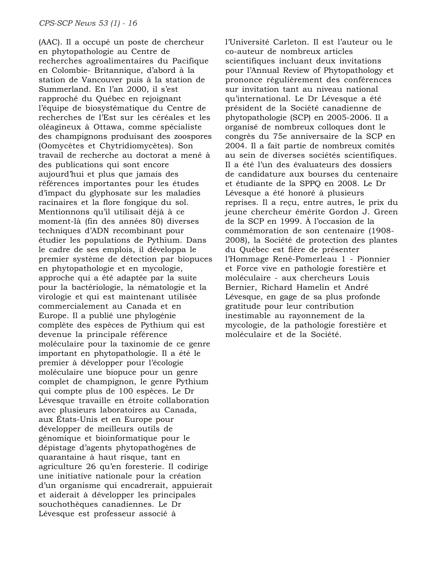(AAC). Il a occupé un poste de chercheur en phytopathologie au Centre de recherches agroalimentaires du Pacifique en Colombie- Britannique, d'abord à la station de Vancouver puis à la station de Summerland. En l'an 2000, il s'est rapproché du Québec en rejoignant l'équipe de biosystématique du Centre de recherches de l'Est sur les céréales et les oléagineux à Ottawa, comme spécialiste des champignons produisant des zoospores (Oomycètes et Chytridiomycètes). Son travail de recherche au doctorat a mené à des publications qui sont encore aujourd'hui et plus que jamais des références importantes pour les études d'impact du glyphosate sur les maladies racinaires et la flore fongique du sol. Mentionnons qu'il utilisait déjà à ce moment-là (fin des années 80) diverses techniques d'ADN recombinant pour étudier les populations de Pythium. Dans le cadre de ses emplois, il développa le premier système de détection par biopuces en phytopathologie et en mycologie, approche qui a été adaptée par la suite pour la bactériologie, la nématologie et la virologie et qui est maintenant utilisée commercialement au Canada et en Europe. Il a publié une phylogénie complète des espèces de Pythium qui est devenue la principale référence moléculaire pour la taxinomie de ce genre important en phytopathologie. Il a été le premier à développer pour l'écologie moléculaire une biopuce pour un genre complet de champignon, le genre Pythium qui compte plus de 100 espèces. Le Dr Lévesque travaille en étroite collaboration avec plusieurs laboratoires au Canada, aux États-Unis et en Europe pour développer de meilleurs outils de génomique et bioinformatique pour le dépistage d'agents phytopathogènes de quarantaine à haut risque, tant en agriculture 26 qu'en foresterie. Il codirige une initiative nationale pour la création d'un organisme qui encadrerait, appuierait et aiderait à développer les principales souchothèques canadiennes. Le Dr Lévesque est professeur associé à

l'Université Carleton. Il est l'auteur ou le co-auteur de nombreux articles scientifiques incluant deux invitations pour l'Annual Review of Phytopathology et prononce régulièrement des conférences sur invitation tant au niveau national qu'international. Le Dr Lévesque a été président de la Société canadienne de phytopathologie (SCP) en 2005-2006. Il a organisé de nombreux colloques dont le congrès du 75e anniversaire de la SCP en 2004. Il a fait partie de nombreux comités au sein de diverses sociétés scientifiques. Il a été l'un des évaluateurs des dossiers de candidature aux bourses du centenaire et étudiante de la SPPQ en 2008. Le Dr Lévesque a été honoré à plusieurs reprises. Il a reçu, entre autres, le prix du jeune chercheur émérite Gordon J. Green de la SCP en 1999. À l'occasion de la commémoration de son centenaire (1908- 2008), la Société de protection des plantes du Québec est fière de présenter l'Hommage René-Pomerleau 1 - Pionnier et Force vive en pathologie forestière et moléculaire - aux chercheurs Louis Bernier, Richard Hamelin et André Lévesque, en gage de sa plus profonde gratitude pour leur contribution inestimable au rayonnement de la mycologie, de la pathologie forestière et moléculaire et de la Société.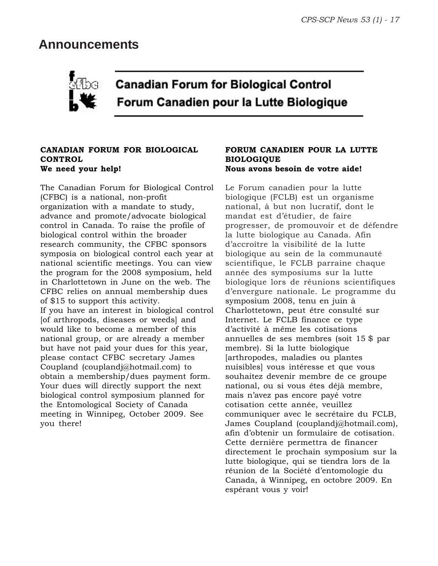# **Announcements**



# **Canadian Forum for Biological Control** Forum Canadien pour la Lutte Biologique

# **CANADIAN FORUM FOR BIOLOGICAL CONTROL We need your help!**

The Canadian Forum for Biological Control (CFBC) is a national, non-profit organization with a mandate to study, advance and promote/advocate biological control in Canada. To raise the profile of biological control within the broader research community, the CFBC sponsors symposia on biological control each year at national scientific meetings. You can view the program for the 2008 symposium, held in Charlottetown in June on the web. The CFBC relies on annual membership dues of \$15 to support this activity. If you have an interest in biological control [of arthropods, diseases or weeds] and would like to become a member of this national group, or are already a member but have not paid your dues for this year, please contact CFBC secretary James Coupland (couplandj@hotmail.com) to obtain a membership/dues payment form. Your dues will directly support the next biological control symposium planned for the Entomological Society of Canada meeting in Winnipeg, October 2009. See you there!

# **FORUM CANADIEN POUR LA LUTTE BIOLOGIQUE Nous avons besoin de votre aide!**

Le Forum canadien pour la lutte biologique (FCLB) est un organisme national, à but non lucratif, dont le mandat est d'étudier, de faire progresser, de promouvoir et de défendre la lutte biologique au Canada. Afin d'accroître la visibilité de la lutte biologique au sein de la communauté scientifique, le FCLB parraine chaque année des symposiums sur la lutte biologique lors de réunions scientifiques d'envergure nationale. Le programme du symposium 2008, tenu en juin à Charlottetown, peut être consulté sur Internet. Le FCLB finance ce type d'activité à même les cotisations annuelles de ses membres (soit 15 \$ par membre). Si la lutte biologique [arthropodes, maladies ou plantes nuisibles] vous intéresse et que vous souhaitez devenir membre de ce groupe national, ou si vous êtes déjà membre, mais n'avez pas encore payé votre cotisation cette année, veuillez communiquer avec le secrétaire du FCLB, James Coupland (couplandj@hotmail.com), afin d'obtenir un formulaire de cotisation. Cette dernière permettra de financer directement le prochain symposium sur la lutte biologique, qui se tiendra lors de la réunion de la Société d'entomologie du Canada, à Winnipeg, en octobre 2009. En espérant vous y voir!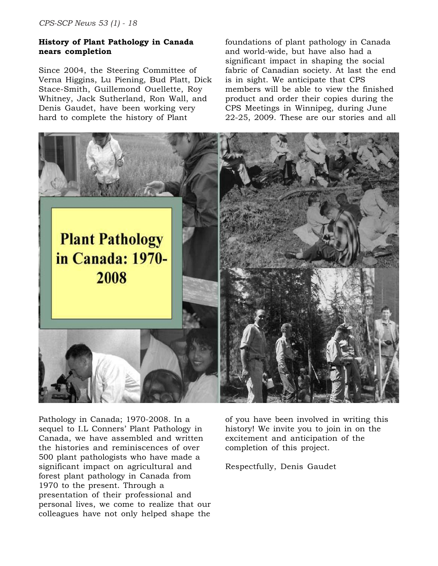#### **History of Plant Pathology in Canada nears completion**

Since 2004, the Steering Committee of Verna Higgins, Lu Piening, Bud Platt, Dick Stace-Smith, Guillemond Ouellette, Roy Whitney, Jack Sutherland, Ron Wall, and Denis Gaudet, have been working very hard to complete the history of Plant

foundations of plant pathology in Canada and world-wide, but have also had a significant impact in shaping the social fabric of Canadian society. At last the end is in sight. We anticipate that CPS members will be able to view the finished product and order their copies during the CPS Meetings in Winnipeg, during June 22-25, 2009. These are our stories and all



Pathology in Canada; 1970-2008. In a sequel to I.L Conners' Plant Pathology in Canada, we have assembled and written the histories and reminiscences of over 500 plant pathologists who have made a significant impact on agricultural and forest plant pathology in Canada from 1970 to the present. Through a presentation of their professional and personal lives, we come to realize that our colleagues have not only helped shape the

of you have been involved in writing this history! We invite you to join in on the excitement and anticipation of the completion of this project.

Respectfully, Denis Gaudet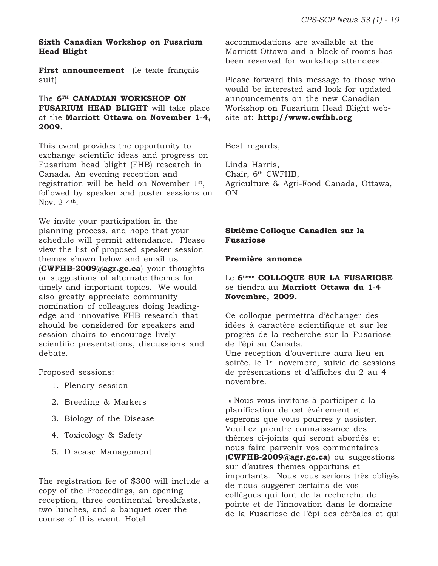#### **Sixth Canadian Workshop on Fusarium Head Blight**

First announcement (le texte français suit)

# The **6TH CANADIAN WORKSHOP ON FUSARIUM HEAD BLIGHT** will take place at the **Marriott Ottawa on November 1-4, 2009.**

This event provides the opportunity to exchange scientific ideas and progress on Fusarium head blight (FHB) research in Canada. An evening reception and registration will be held on November 1st, followed by speaker and poster sessions on Nov.  $2-4$ <sup>th</sup>.

We invite your participation in the planning process, and hope that your schedule will permit attendance. Please view the list of proposed speaker session themes shown below and email us (**CWFHB-2009@agr.gc.ca**) your thoughts or suggestions of alternate themes for timely and important topics. We would also greatly appreciate community nomination of colleagues doing leadingedge and innovative FHB research that should be considered for speakers and session chairs to encourage lively scientific presentations, discussions and debate.

Proposed sessions:

- 1. Plenary session
- 2. Breeding & Markers
- 3. Biology of the Disease
- 4. Toxicology & Safety
- 5. Disease Management

The registration fee of \$300 will include a copy of the Proceedings, an opening reception, three continental breakfasts, two lunches, and a banquet over the course of this event. Hotel

accommodations are available at the Marriott Ottawa and a block of rooms has been reserved for workshop attendees.

Please forward this message to those who would be interested and look for updated announcements on the new Canadian Workshop on Fusarium Head Blight website at: **http://www.cwfhb.org**

Best regards,

Linda Harris, Chair, 6th CWFHB, Agriculture & Agri-Food Canada, Ottawa, ON

#### **Sixième Colloque Canadien sur la Fusariose**

#### **Première annonce**

#### Le **6ième COLLOQUE SUR LA FUSARIOSE** se tiendra au **Marriott Ottawa du 1-4 Novembre, 2009.**

Ce colloque permettra d'échanger des idées à caractère scientifique et sur les progrès de la recherche sur la Fusariose de l'épi au Canada. Une réception d'ouverture aura lieu en soirée, le 1<sup>er</sup> novembre, suivie de sessions de présentations et d'affiches du 2 au 4 novembre.

 « Nous vous invitons à participer à la planification de cet événement et espérons que vous pourrez y assister. Veuillez prendre connaissance des thèmes ci-joints qui seront abordés et nous faire parvenir vos commentaires (**CWFHB-2009@agr.gc.ca**) ou suggestions sur d'autres thèmes opportuns et importants. Nous vous serions très obligés de nous suggérer certains de vos collègues qui font de la recherche de pointe et de l'innovation dans le domaine de la Fusariose de l'épi des céréales et qui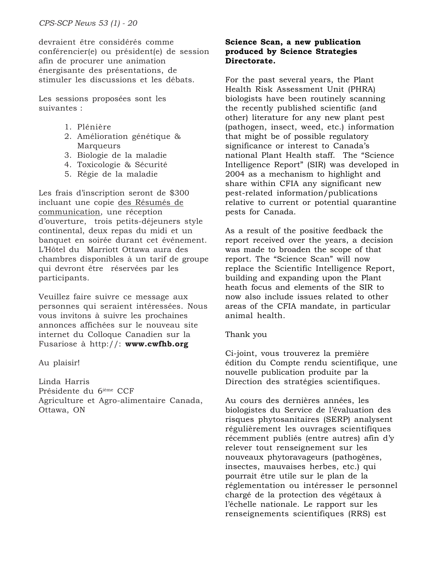devraient être considérés comme conférencier(e) ou président(e) de session afin de procurer une animation énergisante des présentations, de stimuler les discussions et les débats.

Les sessions proposées sont les suivantes :

- 1. Plénière
- 2. Amélioration génétique & Marqueurs
- 3. Biologie de la maladie
- 4. Toxicologie & Sécurité
- 5. Régie de la maladie

Les frais d'inscription seront de \$300 incluant une copie des Résumés de communication, une réception d'ouverture, trois petits-déjeuners style continental, deux repas du midi et un banquet en soirée durant cet événement. L'Hôtel du Marriott Ottawa aura des chambres disponibles à un tarif de groupe qui devront être réservées par les participants.

Veuillez faire suivre ce message aux personnes qui seraient intéressées. Nous vous invitons à suivre les prochaines annonces affichées sur le nouveau site internet du Colloque Canadien sur la Fusariose à http://: **www.cwfhb.org**

Au plaisir!

Linda Harris Présidente du 6ième CCF Agriculture et Agro-alimentaire Canada, Ottawa, ON

## **Science Scan, a new publication produced by Science Strategies Directorate.**

For the past several years, the Plant Health Risk Assessment Unit (PHRA) biologists have been routinely scanning the recently published scientific (and other) literature for any new plant pest (pathogen, insect, weed, etc.) information that might be of possible regulatory significance or interest to Canada's national Plant Health staff. The "Science Intelligence Report" (SIR) was developed in 2004 as a mechanism to highlight and share within CFIA any significant new pest-related information/publications relative to current or potential quarantine pests for Canada.

As a result of the positive feedback the report received over the years, a decision was made to broaden the scope of that report. The "Science Scan" will now replace the Scientific Intelligence Report, building and expanding upon the Plant heath focus and elements of the SIR to now also include issues related to other areas of the CFIA mandate, in particular animal health.

# Thank you

Ci-joint, vous trouverez la première édition du Compte rendu scientifique, une nouvelle publication produite par la Direction des stratégies scientifiques.

Au cours des dernières années, les biologistes du Service de l'évaluation des risques phytosanitaires (SERP) analysent régulièrement les ouvrages scientifiques récemment publiés (entre autres) afin d'y relever tout renseignement sur les nouveaux phytoravageurs (pathogènes, insectes, mauvaises herbes, etc.) qui pourrait être utile sur le plan de la réglementation ou intéresser le personnel chargé de la protection des végétaux à l'échelle nationale. Le rapport sur les renseignements scientifiques (RRS) est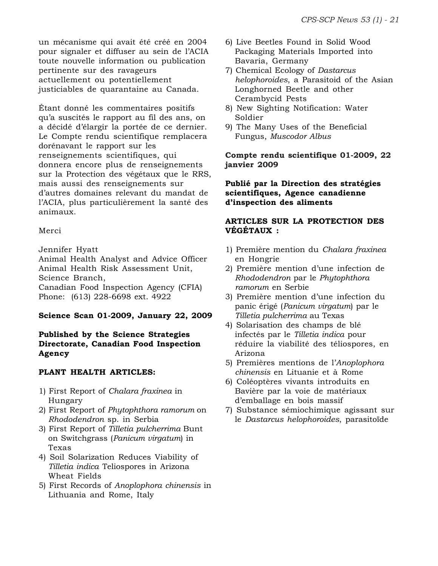un mécanisme qui avait été créé en 2004 pour signaler et diffuser au sein de l'ACIA toute nouvelle information ou publication pertinente sur des ravageurs actuellement ou potentiellement justiciables de quarantaine au Canada.

Étant donné les commentaires positifs qu'a suscités le rapport au fil des ans, on a décidé d'élargir la portée de ce dernier. Le Compte rendu scientifique remplacera dorénavant le rapport sur les renseignements scientifiques, qui donnera encore plus de renseignements sur la Protection des végétaux que le RRS, mais aussi des renseignements sur d'autres domaines relevant du mandat de l'ACIA, plus particulièrement la santé des animaux.

#### Merci

Jennifer Hyatt

Animal Health Analyst and Advice Officer Animal Health Risk Assessment Unit, Science Branch,

Canadian Food Inspection Agency (CFIA) Phone: (613) 228-6698 ext. 4922

# **Science Scan 01-2009, January 22, 2009**

# **Published by the Science Strategies Directorate, Canadian Food Inspection Agency**

# **PLANT HEALTH ARTICLES:**

- 1) First Report of *Chalara fraxinea* in Hungary
- 2) First Report of *Phytophthora ramorum* on *Rhododendron* sp. in Serbia
- 3) First Report of *Tilletia pulcherrima* Bunt on Switchgrass (*Panicum virgatum*) in Texas
- 4) Soil Solarization Reduces Viability of *Tilletia indica* Teliospores in Arizona Wheat Fields
- 5) First Records of *Anoplophora chinensis* in Lithuania and Rome, Italy
- 6) Live Beetles Found in Solid Wood Packaging Materials Imported into Bavaria, Germany
- 7) Chemical Ecology of *Dastarcus helophoroides*, a Parasitoid of the Asian Longhorned Beetle and other Cerambycid Pests
- 8) New Sighting Notification: Water Soldier
- 9) The Many Uses of the Beneficial Fungus, *Muscodor Albus*

**Compte rendu scientifique 01-2009, 22 janvier 2009**

#### **Publié par la Direction des stratégies scientifiques, Agence canadienne d'inspection des aliments**

# **ARTICLES SUR LA PROTECTION DES VÉGÉTAUX :**

- 1) Première mention du *Chalara fraxinea* en Hongrie
- 2) Première mention d'une infection de *Rhododendron* par le *Phytophthora ramorum* en Serbie
- 3) Première mention d'une infection du panic érigé (*Panicum virgatum*) par le *Tilletia pulcherrima* au Texas
- 4) Solarisation des champs de blé infectés par le *Tilletia indica* pour réduire la viabilité des téliospores, en Arizona
- 5) Premières mentions de l'*Anoplophora chinensis* en Lituanie et à Rome
- 6) Coléoptères vivants introduits en Bavière par la voie de matériaux d'emballage en bois massif
- 7) Substance sémiochimique agissant sur le *Dastarcus helophoroides*, parasitoïde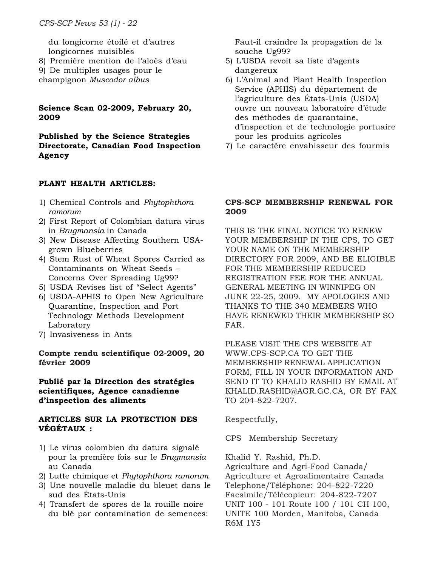du longicorne étoilé et d'autres longicornes nuisibles

- 8) Première mention de l'aloès d'eau
- 9) De multiples usages pour le
- champignon *Muscodor albus*

#### **Science Scan 02-2009, February 20, 2009**

**Published by the Science Strategies Directorate, Canadian Food Inspection Agency**

#### **PLANT HEALTH ARTICLES:**

- 1) Chemical Controls and *Phytophthora ramorum*
- 2) First Report of Colombian datura virus in *Brugmansia* in Canada
- 3) New Disease Affecting Southern USAgrown Blueberries
- 4) Stem Rust of Wheat Spores Carried as Contaminants on Wheat Seeds – Concerns Over Spreading Ug99?
- 5) USDA Revises list of "Select Agents"
- 6) USDA-APHIS to Open New Agriculture Quarantine, Inspection and Port Technology Methods Development Laboratory
- 7) Invasiveness in Ants

#### **Compte rendu scientifique 02-2009, 20 février 2009**

**Publié par la Direction des stratégies scientifiques, Agence canadienne d'inspection des aliments**

#### **ARTICLES SUR LA PROTECTION DES VÉGÉTAUX :**

- 1) Le virus colombien du datura signalé pour la première fois sur le *Brugmansia* au Canada
- 2) Lutte chimique et *Phytophthora ramorum*
- 3) Une nouvelle maladie du bleuet dans le sud des États-Unis
- 4) Transfert de spores de la rouille noire du blé par contamination de semences:

Faut-il craindre la propagation de la souche Ug99?

- 5) L'USDA revoit sa liste d'agents dangereux
- 6) L'Animal and Plant Health Inspection Service (APHIS) du département de l'agriculture des États-Unis (USDA) ouvre un nouveau laboratoire d'étude des méthodes de quarantaine, d'inspection et de technologie portuaire pour les produits agricoles
- 7) Le caractère envahisseur des fourmis

#### **CPS-SCP MEMBERSHIP RENEWAL FOR 2009**

THIS IS THE FINAL NOTICE TO RENEW YOUR MEMBERSHIP IN THE CPS, TO GET YOUR NAME ON THE MEMBERSHIP DIRECTORY FOR 2009, AND BE ELIGIBLE FOR THE MEMBERSHIP REDUCED REGISTRATION FEE FOR THE ANNUAL GENERAL MEETING IN WINNIPEG ON JUNE 22-25, 2009. MY APOLOGIES AND THANKS TO THE 340 MEMBERS WHO HAVE RENEWED THEIR MEMBERSHIP SO FAR.

PLEASE VISIT THE CPS WEBSITE AT WWW.CPS-SCP.CA TO GET THE MEMBERSHIP RENEWAL APPLICATION FORM, FILL IN YOUR INFORMATION AND SEND IT TO KHALID RASHID BY EMAIL AT KHALID.RASHID@AGR.GC.CA, OR BY FAX TO 204-822-7207.

Respectfully,

CPS Membership Secretary

Khalid Y. Rashid, Ph.D.

Agriculture and Agri-Food Canada/ Agriculture et Agroalimentaire Canada Telephone/Téléphone: 204-822-7220 Facsimile/Télécopieur: 204-822-7207 UNIT 100 - 101 Route 100 / 101 CH 100, UNITE 100 Morden, Manitoba, Canada R6M 1Y5